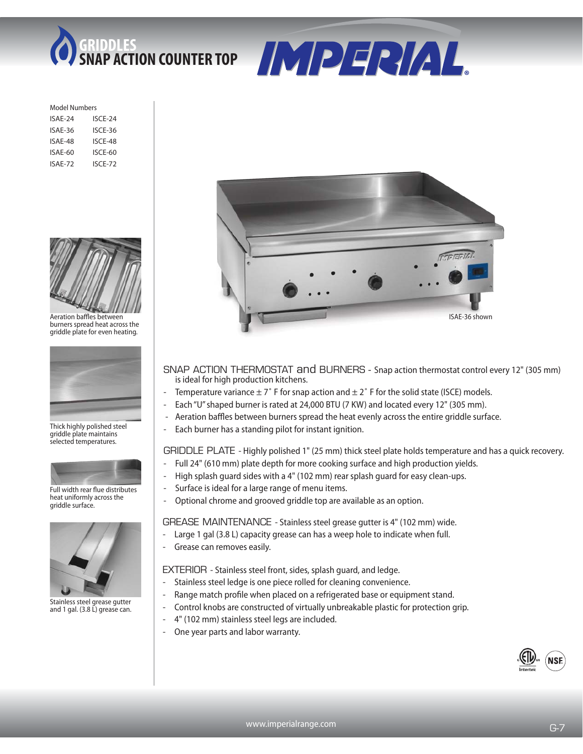



| Model Numbers |         |  |  |
|---------------|---------|--|--|
| ISAF-24       | ISCE-24 |  |  |
| ISAE-36       | ISCE-36 |  |  |
| ISAF-48       | ISCE-48 |  |  |
| ISAF-60       | ISCF-60 |  |  |
| ISAE-72       | ISCE-72 |  |  |
|               |         |  |  |



Aeration baffles between burners spread heat across the griddle plate for even heating.



Thick highly polished steel griddle plate maintains selected temperatures.



Full width rear flue distributes heat uniformly across the griddle surface.



Stainless steel grease gutter and 1 gal. (3.8 L) grease can.



- SNAP ACTION THERMOSTAT and BURNERS Snap action thermostat control every 12" (305 mm) is ideal for high production kitchens.
- Temperature variance  $\pm 7$ ° F for snap action and  $\pm 2$ ° F for the solid state (ISCE) models.
- Each "U" shaped burner is rated at 24,000 BTU (7 KW) and located every 12" (305 mm).
- Aeration baffles between burners spread the heat evenly across the entire griddle surface.
- Each burner has a standing pilot for instant ignition.

## GRIDDLE PLATE - Highly polished 1" (25 mm) thick steel plate holds temperature and has a quick recovery.

- Full 24" (610 mm) plate depth for more cooking surface and high production yields.
- High splash guard sides with a 4" (102 mm) rear splash guard for easy clean-ups.
- Surface is ideal for a large range of menu items.
- Optional chrome and grooved griddle top are available as an option.

GREASE MAINTENANCE - Stainless steel grease gutter is 4" (102 mm) wide.

- Large 1 gal (3.8 L) capacity grease can has a weep hole to indicate when full.
- Grease can removes easily.

## EXTERIOR - Stainless steel front, sides, splash guard, and ledge.

- Stainless steel ledge is one piece rolled for cleaning convenience.
- Range match profile when placed on a refrigerated base or equipment stand.
- Control knobs are constructed of virtually unbreakable plastic for protection grip.
- 4" (102 mm) stainless steel legs are included.
- One year parts and labor warranty.